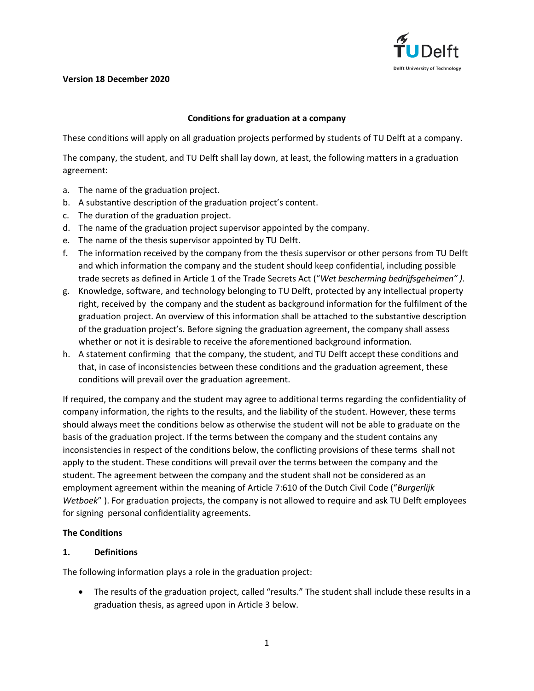

#### **Version 18 December 2020**

#### **Conditions for graduation at a company**

These conditions will apply on all graduation projects performed by students of TU Delft at a company.

The company, the student, and TU Delft shall lay down, at least, the following matters in a graduation agreement:

- a. The name of the graduation project.
- b. A substantive description of the graduation project's content.
- c. The duration of the graduation project.
- d. The name of the graduation project supervisor appointed by the company.
- e. The name of the thesis supervisor appointed by TU Delft.
- f. The information received by the company from the thesis supervisor or other persons from TU Delft and which information the company and the student should keep confidential, including possible trade secrets as defined in Article 1 of the Trade Secrets Act ("*Wet bescherming bedrijfsgeheimen" )*.
- g. Knowledge, software, and technology belonging to TU Delft, protected by any intellectual property right, received by the company and the student as background information for the fulfilment of the graduation project. An overview of this information shall be attached to the substantive description of the graduation project's. Before signing the graduation agreement, the company shall assess whether or not it is desirable to receive the aforementioned background information.
- h. A statement confirming that the company, the student, and TU Delft accept these conditions and that, in case of inconsistencies between these conditions and the graduation agreement, these conditions will prevail over the graduation agreement.

If required, the company and the student may agree to additional terms regarding the confidentiality of company information, the rights to the results, and the liability of the student. However, these terms should always meet the conditions below as otherwise the student will not be able to graduate on the basis of the graduation project. If the terms between the company and the student contains any inconsistencies in respect of the conditions below, the conflicting provisions of these terms shall not apply to the student. These conditions will prevail over the terms between the company and the student. The agreement between the company and the student shall not be considered as an employment agreement within the meaning of Article 7:610 of the Dutch Civil Code ("*Burgerlijk Wetboek*" ). For graduation projects, the company is not allowed to require and ask TU Delft employees for signing personal confidentiality agreements.

#### **The Conditions**

#### **1. Definitions**

The following information plays a role in the graduation project:

 The results of the graduation project, called "results." The student shall include these results in a graduation thesis, as agreed upon in Article 3 below.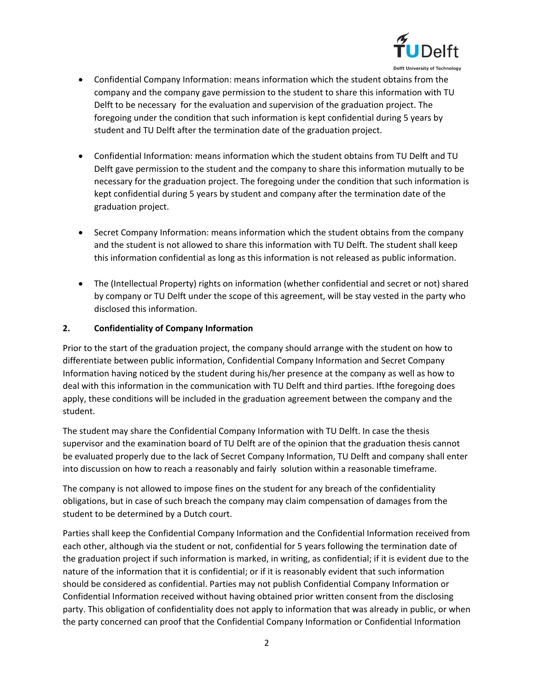

 Confidential Company Information: means information which the student obtains from the company and the company gave permission to the student to share this information with TU Delft to be necessary for the evaluation and supervision of the graduation project. The foregoing under the condition that such information is kept confidential during 5 years by student and TU Delft after the termination date of the graduation project.

- Confidential Information: means information which the student obtains from TU Delft and TU Delft gave permission to the student and the company to share this information mutually to be necessary for the graduation project. The foregoing under the condition that such information is kept confidential during 5 years by student and company after the termination date of the graduation project.
- Secret Company Information: means information which the student obtains from the company and the student is not allowed to share this information with TU Delft. The student shall keep this information confidential as long as this information is not released as public information.
- The (Intellectual Property) rights on information (whether confidential and secret or not) shared by company or TU Delft under the scope of this agreement, will be stay vested in the party who disclosed this information.

# **2. Confidentiality of Company Information**

Prior to the start of the graduation project, the company should arrange with the student on how to differentiate between public information, Confidential Company Information and Secret Company Information having noticed by the student during his/her presence at the company as well as how to deal with this information in the communication with TU Delft and third parties. Ifthe foregoing does apply, these conditions will be included in the graduation agreement between the company and the student.

The student may share the Confidential Company Information with TU Delft. In case the thesis supervisor and the examination board of TU Delft are of the opinion that the graduation thesis cannot be evaluated properly due to the lack of Secret Company Information, TU Delft and company shall enter into discussion on how to reach a reasonably and fairly solution within a reasonable timeframe.

The company is not allowed to impose fines on the student for any breach of the confidentiality obligations, but in case of such breach the company may claim compensation of damages from the student to be determined by a Dutch court.

Parties shall keep the Confidential Company Information and the Confidential Information received from each other, although via the student or not, confidential for 5 years following the termination date of the graduation project if such information is marked, in writing, as confidential; if it is evident due to the nature of the information that it is confidential; or if it is reasonably evident that such information should be considered as confidential. Parties may not publish Confidential Company Information or Confidential Information received without having obtained prior written consent from the disclosing party. This obligation of confidentiality does not apply to information that was already in public, or when the party concerned can proof that the Confidential Company Information or Confidential Information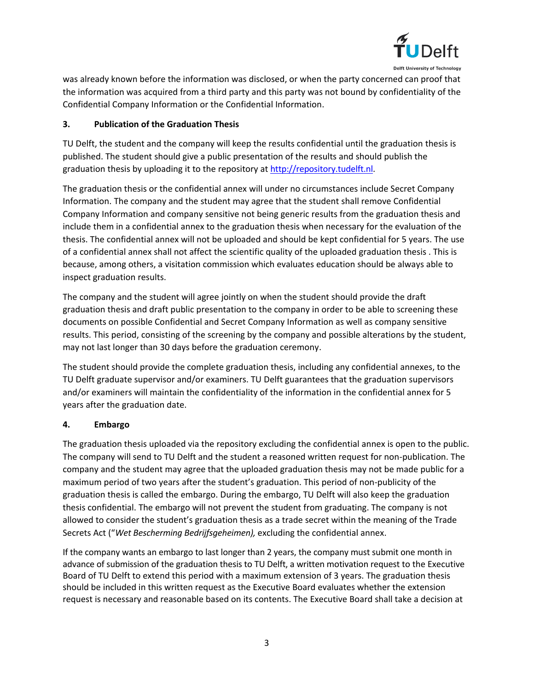

was already known before the information was disclosed, or when the party concerned can proof that the information was acquired from a third party and this party was not bound by confidentiality of the Confidential Company Information or the Confidential Information.

### **3. Publication of the Graduation Thesis**

TU Delft, the student and the company will keep the results confidential until the graduation thesis is published. The student should give a public presentation of the results and should publish the graduation thesis by uploading it to the repository at [http://repository.tudelft.nl.](http://repository.tudelft.nl/)

The graduation thesis or the confidential annex will under no circumstances include Secret Company Information. The company and the student may agree that the student shall remove Confidential Company Information and company sensitive not being generic results from the graduation thesis and include them in a confidential annex to the graduation thesis when necessary for the evaluation of the thesis. The confidential annex will not be uploaded and should be kept confidential for 5 years. The use of a confidential annex shall not affect the scientific quality of the uploaded graduation thesis . This is because, among others, a visitation commission which evaluates education should be always able to inspect graduation results.

The company and the student will agree jointly on when the student should provide the draft graduation thesis and draft public presentation to the company in order to be able to screening these documents on possible Confidential and Secret Company Information as well as company sensitive results. This period, consisting of the screening by the company and possible alterations by the student, may not last longer than 30 days before the graduation ceremony.

The student should provide the complete graduation thesis, including any confidential annexes, to the TU Delft graduate supervisor and/or examiners. TU Delft guarantees that the graduation supervisors and/or examiners will maintain the confidentiality of the information in the confidential annex for 5 years after the graduation date.

# **4. Embargo**

The graduation thesis uploaded via the repository excluding the confidential annex is open to the public. The company will send to TU Delft and the student a reasoned written request for non-publication. The company and the student may agree that the uploaded graduation thesis may not be made public for a maximum period of two years after the student's graduation. This period of non-publicity of the graduation thesis is called the embargo. During the embargo, TU Delft will also keep the graduation thesis confidential. The embargo will not prevent the student from graduating. The company is not allowed to consider the student's graduation thesis as a trade secret within the meaning of the Trade Secrets Act ("*Wet Bescherming Bedrijfsgeheimen),* excluding the confidential annex.

If the company wants an embargo to last longer than 2 years, the company must submit one month in advance of submission of the graduation thesis to TU Delft, a written motivation request to the Executive Board of TU Delft to extend this period with a maximum extension of 3 years. The graduation thesis should be included in this written request as the Executive Board evaluates whether the extension request is necessary and reasonable based on its contents. The Executive Board shall take a decision at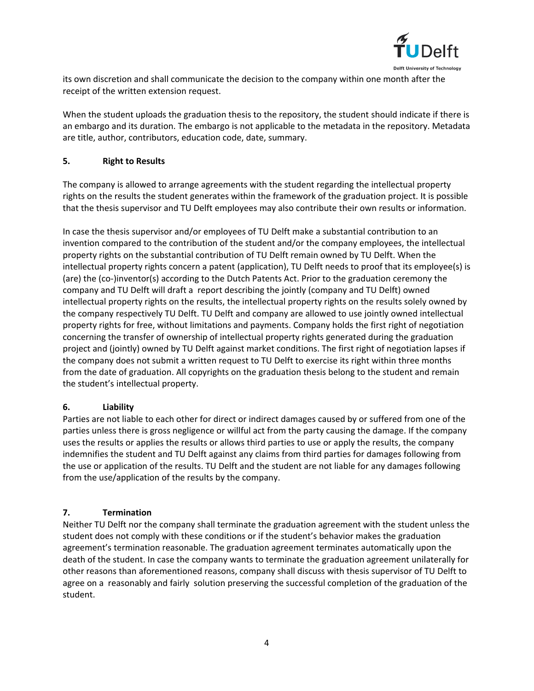

its own discretion and shall communicate the decision to the company within one month after the receipt of the written extension request.

When the student uploads the graduation thesis to the repository, the student should indicate if there is an embargo and its duration. The embargo is not applicable to the metadata in the repository. Metadata are title, author, contributors, education code, date, summary.

### **5. Right to Results**

The company is allowed to arrange agreements with the student regarding the intellectual property rights on the results the student generates within the framework of the graduation project. It is possible that the thesis supervisor and TU Delft employees may also contribute their own results or information.

In case the thesis supervisor and/or employees of TU Delft make a substantial contribution to an invention compared to the contribution of the student and/or the company employees, the intellectual property rights on the substantial contribution of TU Delft remain owned by TU Delft. When the intellectual property rights concern a patent (application), TU Delft needs to proof that its employee(s) is (are) the (co-)inventor(s) according to the Dutch Patents Act. Prior to the graduation ceremony the company and TU Delft will draft a report describing the jointly (company and TU Delft) owned intellectual property rights on the results, the intellectual property rights on the results solely owned by the company respectively TU Delft. TU Delft and company are allowed to use jointly owned intellectual property rights for free, without limitations and payments. Company holds the first right of negotiation concerning the transfer of ownership of intellectual property rights generated during the graduation project and (jointly) owned by TU Delft against market conditions. The first right of negotiation lapses if the company does not submit a written request to TU Delft to exercise its right within three months from the date of graduation. All copyrights on the graduation thesis belong to the student and remain the student's intellectual property.

# **6. Liability**

Parties are not liable to each other for direct or indirect damages caused by or suffered from one of the parties unless there is gross negligence or willful act from the party causing the damage. If the company uses the results or applies the results or allows third parties to use or apply the results, the company indemnifies the student and TU Delft against any claims from third parties for damages following from the use or application of the results. TU Delft and the student are not liable for any damages following from the use/application of the results by the company.

# **7. Termination**

Neither TU Delft nor the company shall terminate the graduation agreement with the student unless the student does not comply with these conditions or if the student's behavior makes the graduation agreement's termination reasonable. The graduation agreement terminates automatically upon the death of the student. In case the company wants to terminate the graduation agreement unilaterally for other reasons than aforementioned reasons, company shall discuss with thesis supervisor of TU Delft to agree on a reasonably and fairly solution preserving the successful completion of the graduation of the student.